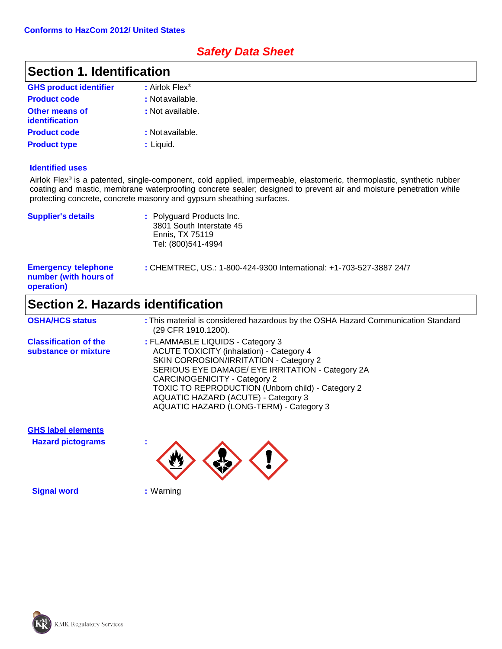### *Safety Data Sheet*

### **Section 1. Identification**

| <b>GHS product identifier</b>                  | : Airlok Flex <sup>®</sup> |
|------------------------------------------------|----------------------------|
| <b>Product code</b>                            | : Notavailable.            |
| <b>Other means of</b><br><b>identification</b> | : Not available.           |
| <b>Product code</b>                            | : Not available.           |
| <b>Product type</b>                            | : Liquid.                  |

#### **Identified uses**

Airlok Flex® is a patented, single-component, cold applied, impermeable, elastomeric, thermoplastic, synthetic rubber coating and mastic, membrane waterproofing concrete sealer; designed to prevent air and moisture penetration while protecting concrete, concrete masonry and gypsum sheathing surfaces.

| <b>Supplier's details</b>                                         | : Polyguard Products Inc.<br>3801 South Interstate 45<br>Ennis, TX 75119<br>Tel: (800)541-4994 |
|-------------------------------------------------------------------|------------------------------------------------------------------------------------------------|
| <b>Emergency telephone</b><br>number (with hours of<br>operation) | : CHEMTREC, US.: 1-800-424-9300 International: +1-703-527-3887 24/7                            |

### **Section 2. Hazards identification**

| <b>OSHA/HCS status</b>                               | : This material is considered hazardous by the OSHA Hazard Communication Standard<br>(29 CFR 1910.1200).                                                                                                                                                                                                                                                               |
|------------------------------------------------------|------------------------------------------------------------------------------------------------------------------------------------------------------------------------------------------------------------------------------------------------------------------------------------------------------------------------------------------------------------------------|
| <b>Classification of the</b><br>substance or mixture | : FLAMMABLE LIQUIDS - Category 3<br><b>ACUTE TOXICITY (inhalation) - Category 4</b><br>SKIN CORROSION/IRRITATION - Category 2<br>SERIOUS EYE DAMAGE/ EYE IRRITATION - Category 2A<br><b>CARCINOGENICITY - Category 2</b><br><b>TOXIC TO REPRODUCTION (Unborn child) - Category 2</b><br>AQUATIC HAZARD (ACUTE) - Category 3<br>AQUATIC HAZARD (LONG-TERM) - Category 3 |

**GHS label elements**

**Hazard pictograms :**



**Signal word :** Warning

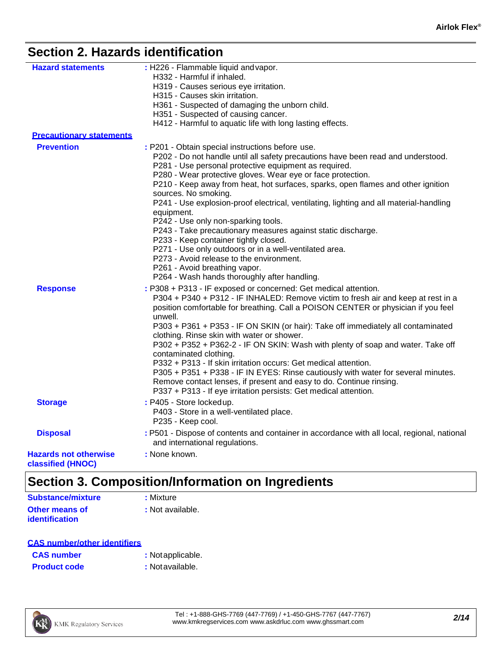### **Section 2. Hazards identification**

| <b>Hazard statements</b>        | : H226 - Flammable liquid and vapor.<br>H332 - Harmful if inhaled.                                                                      |
|---------------------------------|-----------------------------------------------------------------------------------------------------------------------------------------|
|                                 | H319 - Causes serious eye irritation.                                                                                                   |
|                                 | H315 - Causes skin irritation.                                                                                                          |
|                                 | H361 - Suspected of damaging the unborn child.                                                                                          |
|                                 | H351 - Suspected of causing cancer.                                                                                                     |
|                                 | H412 - Harmful to aquatic life with long lasting effects.                                                                               |
| <b>Precautionary statements</b> |                                                                                                                                         |
| <b>Prevention</b>               | : P201 - Obtain special instructions before use.                                                                                        |
|                                 | P202 - Do not handle until all safety precautions have been read and understood.                                                        |
|                                 | P281 - Use personal protective equipment as required.                                                                                   |
|                                 | P280 - Wear protective gloves. Wear eye or face protection.                                                                             |
|                                 | P210 - Keep away from heat, hot surfaces, sparks, open flames and other ignition<br>sources. No smoking.                                |
|                                 | P241 - Use explosion-proof electrical, ventilating, lighting and all material-handling                                                  |
|                                 | equipment.                                                                                                                              |
|                                 | P242 - Use only non-sparking tools.                                                                                                     |
|                                 | P243 - Take precautionary measures against static discharge.                                                                            |
|                                 | P233 - Keep container tightly closed.                                                                                                   |
|                                 | P271 - Use only outdoors or in a well-ventilated area.<br>P273 - Avoid release to the environment.                                      |
|                                 | P261 - Avoid breathing vapor.                                                                                                           |
|                                 | P264 - Wash hands thoroughly after handling.                                                                                            |
| <b>Response</b>                 | : P308 + P313 - IF exposed or concerned: Get medical attention.                                                                         |
|                                 | P304 + P340 + P312 - IF INHALED: Remove victim to fresh air and keep at rest in a                                                       |
|                                 | position comfortable for breathing. Call a POISON CENTER or physician if you feel                                                       |
|                                 | unwell.                                                                                                                                 |
|                                 | P303 + P361 + P353 - IF ON SKIN (or hair): Take off immediately all contaminated                                                        |
|                                 | clothing. Rinse skin with water or shower.                                                                                              |
|                                 | P302 + P352 + P362-2 - IF ON SKIN: Wash with plenty of soap and water. Take off<br>contaminated clothing.                               |
|                                 | P332 + P313 - If skin irritation occurs: Get medical attention.                                                                         |
|                                 | P305 + P351 + P338 - IF IN EYES: Rinse cautiously with water for several minutes.                                                       |
|                                 | Remove contact lenses, if present and easy to do. Continue rinsing.<br>P337 + P313 - If eye irritation persists: Get medical attention. |
| <b>Storage</b>                  | : P405 - Store lockedup.                                                                                                                |
|                                 | P403 - Store in a well-ventilated place.                                                                                                |
|                                 | P235 - Keep cool.                                                                                                                       |
|                                 |                                                                                                                                         |
| <b>Disposal</b>                 | : P501 - Dispose of contents and container in accordance with all local, regional, national<br>and international regulations.           |
|                                 |                                                                                                                                         |
| <b>Hazards not otherwise</b>    | : None known.                                                                                                                           |
| <b>classified (HNOC)</b>        |                                                                                                                                         |

# **Section 3. Composition/Information on Ingredients**

| Substance/mixture     | : Mixture        |
|-----------------------|------------------|
| <b>Other means of</b> | : Not available. |
| <b>identification</b> |                  |

| <b>CAS number/other identifiers</b> |                  |
|-------------------------------------|------------------|
| <b>CAS number</b>                   | : Notapplicable. |

| <b>Product code</b> | : Not available. |
|---------------------|------------------|
|                     |                  |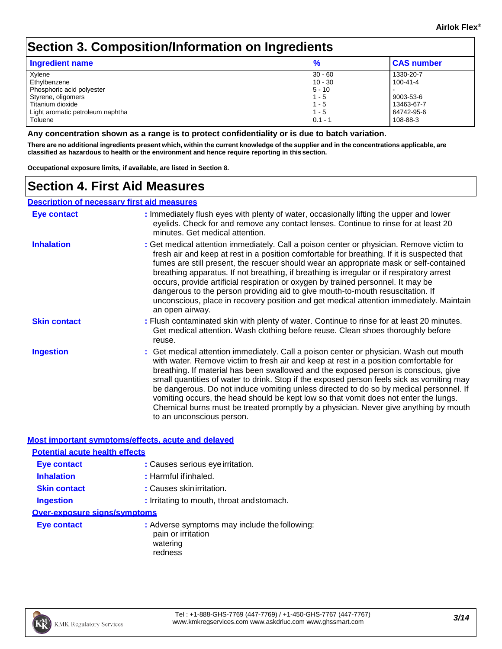### **Section 3. Composition/Information on Ingredients**

| <b>Ingredient name</b>           | $\frac{9}{6}$ | <b>CAS number</b> |
|----------------------------------|---------------|-------------------|
| Xylene                           | $30 - 60$     | 1330-20-7         |
| Ethylbenzene                     | $10 - 30$     | $100 - 41 - 4$    |
| Phosphoric acid polyester        | $5 - 10$      |                   |
| Styrene, oligomers               | $1 - 5$       | 9003-53-6         |
| Titanium dioxide                 | $1 - 5$       | 13463-67-7        |
| Light aromatic petroleum naphtha | $1 - 5$       | 64742-95-6        |
| Toluene                          | $0.1 - ?$     | 108-88-3          |

**Any concentration shown as a range is to protect confidentiality or is due to batch variation.**

There are no additional ingredients present which, within the current knowledge of the supplier and in the concentrations applicable, are **classified as hazardous to health or the environment and hence require reporting in thissection.**

**Occupational exposure limits, if available, are listed in Section 8.**

### **Section 4. First Aid Measures**

#### **Description of necessary first aid measures**

| Eye contact         | : Immediately flush eyes with plenty of water, occasionally lifting the upper and lower<br>eyelids. Check for and remove any contact lenses. Continue to rinse for at least 20<br>minutes. Get medical attention.                                                                                                                                                                                                                                                                                                                                                                                                                                                          |
|---------------------|----------------------------------------------------------------------------------------------------------------------------------------------------------------------------------------------------------------------------------------------------------------------------------------------------------------------------------------------------------------------------------------------------------------------------------------------------------------------------------------------------------------------------------------------------------------------------------------------------------------------------------------------------------------------------|
| <b>Inhalation</b>   | : Get medical attention immediately. Call a poison center or physician. Remove victim to<br>fresh air and keep at rest in a position comfortable for breathing. If it is suspected that<br>fumes are still present, the rescuer should wear an appropriate mask or self-contained<br>breathing apparatus. If not breathing, if breathing is irregular or if respiratory arrest<br>occurs, provide artificial respiration or oxygen by trained personnel. It may be<br>dangerous to the person providing aid to give mouth-to-mouth resuscitation. If<br>unconscious, place in recovery position and get medical attention immediately. Maintain<br>an open airway.         |
| <b>Skin contact</b> | : Flush contaminated skin with plenty of water. Continue to rinse for at least 20 minutes.<br>Get medical attention. Wash clothing before reuse. Clean shoes thoroughly before<br>reuse.                                                                                                                                                                                                                                                                                                                                                                                                                                                                                   |
| <b>Ingestion</b>    | : Get medical attention immediately. Call a poison center or physician. Wash out mouth<br>with water. Remove victim to fresh air and keep at rest in a position comfortable for<br>breathing. If material has been swallowed and the exposed person is conscious, give<br>small quantities of water to drink. Stop if the exposed person feels sick as vomiting may<br>be dangerous. Do not induce vomiting unless directed to do so by medical personnel. If<br>vomiting occurs, the head should be kept low so that vomit does not enter the lungs.<br>Chemical burns must be treated promptly by a physician. Never give anything by mouth<br>to an unconscious person. |

#### **Most important symptoms/effects, acute and delayed**

| <b>Potential acute health effects</b> |                                                                                 |
|---------------------------------------|---------------------------------------------------------------------------------|
| <b>Eye contact</b>                    | : Causes serious eye irritation.                                                |
| <b>Inhalation</b>                     | : Harmful if inhaled.                                                           |
| <b>Skin contact</b>                   | : Causes skin irritation.                                                       |
| <b>Ingestion</b>                      | : Irritating to mouth, throat and stomach.                                      |
| <b>Over-exposure signs/symptoms</b>   |                                                                                 |
| <b>Eye contact</b>                    | : Adverse symptoms may include the following:<br>pain or irritation<br>watering |

redness

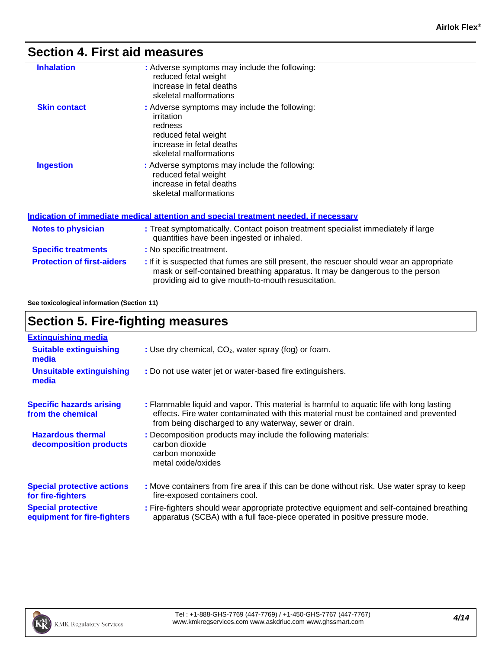### **Section 4. First aid measures**

| <b>Inhalation</b>   | : Adverse symptoms may include the following:<br>reduced fetal weight<br>increase in fetal deaths<br>skeletal malformations                          |
|---------------------|------------------------------------------------------------------------------------------------------------------------------------------------------|
| <b>Skin contact</b> | : Adverse symptoms may include the following:<br>irritation<br>redness<br>reduced fetal weight<br>increase in fetal deaths<br>skeletal malformations |
| <b>Ingestion</b>    | : Adverse symptoms may include the following:<br>reduced fetal weight<br>increase in fetal deaths<br>skeletal malformations                          |

|                                   | Indication of immediate medical attention and special treatment needed, if necessary                                                                                                                                              |
|-----------------------------------|-----------------------------------------------------------------------------------------------------------------------------------------------------------------------------------------------------------------------------------|
| <b>Notes to physician</b>         | : Treat symptomatically. Contact poison treatment specialist immediately if large<br>quantities have been ingested or inhaled.                                                                                                    |
| <b>Specific treatments</b>        | : No specific treatment.                                                                                                                                                                                                          |
| <b>Protection of first-aiders</b> | : If it is suspected that fumes are still present, the rescuer should wear an appropriate<br>mask or self-contained breathing apparatus. It may be dangerous to the person<br>providing aid to give mouth-to-mouth resuscitation. |

**See toxicological information (Section 11)**

### **Section 5. Fire-fighting measures**

| <b>Extinguishing media</b>                               |                                                                                                                                                                                                                                           |  |  |  |
|----------------------------------------------------------|-------------------------------------------------------------------------------------------------------------------------------------------------------------------------------------------------------------------------------------------|--|--|--|
| <b>Suitable extinguishing</b><br>media                   | : Use dry chemical, CO <sub>2</sub> , water spray (fog) or foam.                                                                                                                                                                          |  |  |  |
| <b>Unsuitable extinguishing</b><br>media                 | : Do not use water jet or water-based fire extinguishers.                                                                                                                                                                                 |  |  |  |
| <b>Specific hazards arising</b><br>from the chemical     | : Flammable liquid and vapor. This material is harmful to aquatic life with long lasting<br>effects. Fire water contaminated with this material must be contained and prevented<br>from being discharged to any waterway, sewer or drain. |  |  |  |
| <b>Hazardous thermal</b><br>decomposition products       | : Decomposition products may include the following materials:<br>carbon dioxide<br>carbon monoxide<br>metal oxide/oxides                                                                                                                  |  |  |  |
| <b>Special protective actions</b><br>for fire-fighters   | : Move containers from fire area if this can be done without risk. Use water spray to keep<br>fire-exposed containers cool.                                                                                                               |  |  |  |
| <b>Special protective</b><br>equipment for fire-fighters | : Fire-fighters should wear appropriate protective equipment and self-contained breathing<br>apparatus (SCBA) with a full face-piece operated in positive pressure mode.                                                                  |  |  |  |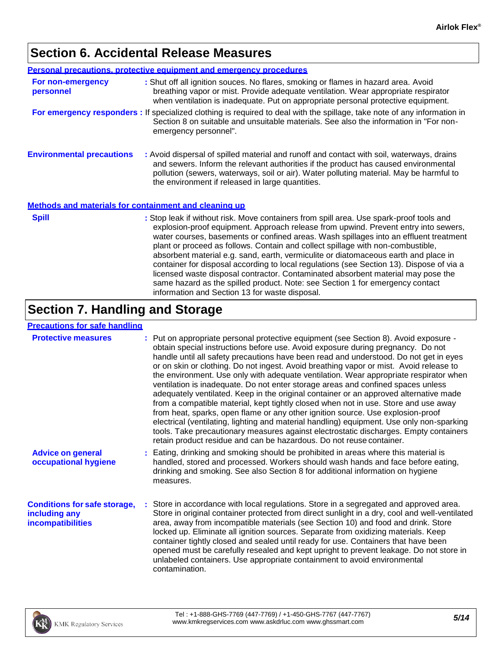## **Section 6. Accidental Release Measures**

|                                                       | <b>Personal precautions, protective equipment and emergency procedures</b>                                                                                                                                                                                                                                                                                                                                                                                                                                                                                                                                                                                                                                                                                           |
|-------------------------------------------------------|----------------------------------------------------------------------------------------------------------------------------------------------------------------------------------------------------------------------------------------------------------------------------------------------------------------------------------------------------------------------------------------------------------------------------------------------------------------------------------------------------------------------------------------------------------------------------------------------------------------------------------------------------------------------------------------------------------------------------------------------------------------------|
| For non-emergency<br>personnel                        | : Shut off all ignition souces. No flares, smoking or flames in hazard area. Avoid<br>breathing vapor or mist. Provide adequate ventilation. Wear appropriate respirator<br>when ventilation is inadequate. Put on appropriate personal protective equipment.                                                                                                                                                                                                                                                                                                                                                                                                                                                                                                        |
|                                                       | For emergency responders : If specialized clothing is required to deal with the spillage, take note of any information in<br>Section 8 on suitable and unsuitable materials. See also the information in "For non-<br>emergency personnel".                                                                                                                                                                                                                                                                                                                                                                                                                                                                                                                          |
| <b>Environmental precautions</b>                      | : Avoid dispersal of spilled material and runoff and contact with soil, waterways, drains<br>and sewers. Inform the relevant authorities if the product has caused environmental<br>pollution (sewers, waterways, soil or air). Water polluting material. May be harmful to<br>the environment if released in large quantities.                                                                                                                                                                                                                                                                                                                                                                                                                                      |
| Methods and materials for containment and cleaning up |                                                                                                                                                                                                                                                                                                                                                                                                                                                                                                                                                                                                                                                                                                                                                                      |
| <b>Spill</b>                                          | : Stop leak if without risk. Move containers from spill area. Use spark-proof tools and<br>explosion-proof equipment. Approach release from upwind. Prevent entry into sewers,<br>water courses, basements or confined areas. Wash spillages into an effluent treatment<br>plant or proceed as follows. Contain and collect spillage with non-combustible,<br>absorbent material e.g. sand, earth, vermiculite or diatomaceous earth and place in<br>container for disposal according to local regulations (see Section 13). Dispose of via a<br>licensed waste disposal contractor. Contaminated absorbent material may pose the<br>same hazard as the spilled product. Note: see Section 1 for emergency contact<br>information and Section 13 for waste disposal. |
|                                                       | $\sim$ $\sim$ $\sim$ $\sim$                                                                                                                                                                                                                                                                                                                                                                                                                                                                                                                                                                                                                                                                                                                                          |

### **Section 7. Handling and Storage**

#### **Precautions for safe handling**

| <b>Protective measures</b>                                                       | : Put on appropriate personal protective equipment (see Section 8). Avoid exposure -<br>obtain special instructions before use. Avoid exposure during pregnancy. Do not<br>handle until all safety precautions have been read and understood. Do not get in eyes<br>or on skin or clothing. Do not ingest. Avoid breathing vapor or mist. Avoid release to<br>the environment. Use only with adequate ventilation. Wear appropriate respirator when<br>ventilation is inadequate. Do not enter storage areas and confined spaces unless<br>adequately ventilated. Keep in the original container or an approved alternative made<br>from a compatible material, kept tightly closed when not in use. Store and use away<br>from heat, sparks, open flame or any other ignition source. Use explosion-proof<br>electrical (ventilating, lighting and material handling) equipment. Use only non-sparking<br>tools. Take precautionary measures against electrostatic discharges. Empty containers<br>retain product residue and can be hazardous. Do not reuse container. |
|----------------------------------------------------------------------------------|--------------------------------------------------------------------------------------------------------------------------------------------------------------------------------------------------------------------------------------------------------------------------------------------------------------------------------------------------------------------------------------------------------------------------------------------------------------------------------------------------------------------------------------------------------------------------------------------------------------------------------------------------------------------------------------------------------------------------------------------------------------------------------------------------------------------------------------------------------------------------------------------------------------------------------------------------------------------------------------------------------------------------------------------------------------------------|
| <b>Advice on general</b><br>occupational hygiene                                 | : Eating, drinking and smoking should be prohibited in areas where this material is<br>handled, stored and processed. Workers should wash hands and face before eating,<br>drinking and smoking. See also Section 8 for additional information on hygiene<br>measures.                                                                                                                                                                                                                                                                                                                                                                                                                                                                                                                                                                                                                                                                                                                                                                                                   |
| <b>Conditions for safe storage,</b><br>including any<br><b>incompatibilities</b> | : Store in accordance with local regulations. Store in a segregated and approved area.<br>Store in original container protected from direct sunlight in a dry, cool and well-ventilated<br>area, away from incompatible materials (see Section 10) and food and drink. Store<br>locked up. Eliminate all ignition sources. Separate from oxidizing materials. Keep<br>container tightly closed and sealed until ready for use. Containers that have been<br>opened must be carefully resealed and kept upright to prevent leakage. Do not store in<br>unlabeled containers. Use appropriate containment to avoid environmental<br>contamination.                                                                                                                                                                                                                                                                                                                                                                                                                         |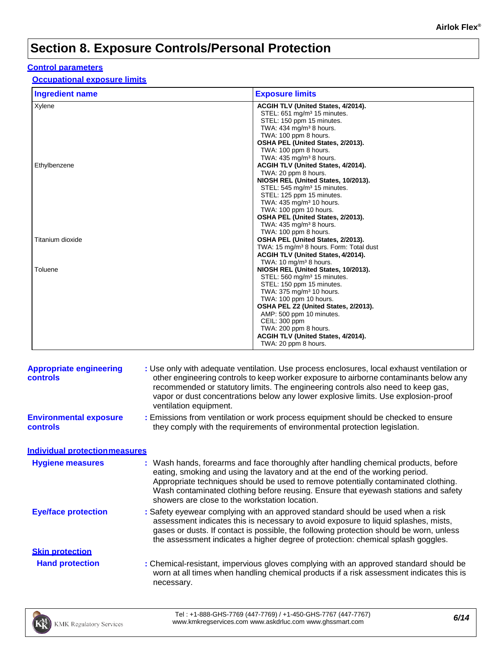# **Section 8. Exposure Controls/Personal Protection**

#### **Control parameters**

**Occupational exposure limits**

| <b>Ingredient name</b> | <b>Exposure limits</b>                              |
|------------------------|-----------------------------------------------------|
| Xylene                 | ACGIH TLV (United States, 4/2014).                  |
|                        | STEL: 651 mg/m <sup>3</sup> 15 minutes.             |
|                        | STEL: 150 ppm 15 minutes.                           |
|                        | TWA: $434 \text{ ma/m}^3$ 8 hours.                  |
|                        | TWA: 100 ppm 8 hours.                               |
|                        | OSHA PEL (United States, 2/2013).                   |
|                        | TWA: 100 ppm 8 hours.                               |
|                        | TWA: $435 \text{ mg/m}^3$ 8 hours.                  |
| Ethylbenzene           | ACGIH TLV (United States, 4/2014).                  |
|                        | TWA: 20 ppm 8 hours.                                |
|                        | NIOSH REL (United States, 10/2013).                 |
|                        | STEL: 545 mg/m <sup>3</sup> 15 minutes.             |
|                        | STEL: 125 ppm 15 minutes.                           |
|                        | TWA: 435 mg/m <sup>3</sup> 10 hours.                |
|                        | TWA: 100 ppm 10 hours.                              |
|                        | OSHA PEL (United States, 2/2013).                   |
|                        | TWA: $435 \text{ mg/m}^3$ 8 hours.                  |
|                        | TWA: 100 ppm 8 hours.                               |
| Titanium dioxide       | OSHA PEL (United States, 2/2013).                   |
|                        | TWA: 15 mg/m <sup>3</sup> 8 hours. Form: Total dust |
|                        | ACGIH TLV (United States, 4/2014).                  |
|                        | TWA: 10 mg/m <sup>3</sup> 8 hours.                  |
| Toluene                | NIOSH REL (United States, 10/2013).                 |
|                        | STEL: 560 mg/m <sup>3</sup> 15 minutes.             |
|                        | STEL: 150 ppm 15 minutes.                           |
|                        | TWA: 375 mg/m <sup>3</sup> 10 hours.                |
|                        | TWA: 100 ppm 10 hours.                              |
|                        | OSHA PEL Z2 (United States, 2/2013).                |
|                        | AMP: 500 ppm 10 minutes.                            |
|                        | CEIL: 300 ppm                                       |
|                        | TWA: 200 ppm 8 hours.                               |
|                        | ACGIH TLV (United States, 4/2014).                  |
|                        | TWA: 20 ppm 8 hours.                                |

| <b>Appropriate engineering</b><br><b>controls</b> | : Use only with adequate ventilation. Use process enclosures, local exhaust ventilation or<br>other engineering controls to keep worker exposure to airborne contaminants below any<br>recommended or statutory limits. The engineering controls also need to keep gas,<br>vapor or dust concentrations below any lower explosive limits. Use explosion-proof<br>ventilation equipment.           |
|---------------------------------------------------|---------------------------------------------------------------------------------------------------------------------------------------------------------------------------------------------------------------------------------------------------------------------------------------------------------------------------------------------------------------------------------------------------|
| <b>Environmental exposure</b><br><b>controls</b>  | : Emissions from ventilation or work process equipment should be checked to ensure<br>they comply with the requirements of environmental protection legislation.                                                                                                                                                                                                                                  |
| <b>Individual protection measures</b>             |                                                                                                                                                                                                                                                                                                                                                                                                   |
| <b>Hygiene measures</b>                           | : Wash hands, forearms and face thoroughly after handling chemical products, before<br>eating, smoking and using the lavatory and at the end of the working period.<br>Appropriate techniques should be used to remove potentially contaminated clothing.<br>Wash contaminated clothing before reusing. Ensure that eyewash stations and safety<br>showers are close to the workstation location. |
| <b>Eye/face protection</b>                        | : Safety eyewear complying with an approved standard should be used when a risk<br>assessment indicates this is necessary to avoid exposure to liquid splashes, mists,<br>gases or dusts. If contact is possible, the following protection should be worn, unless<br>the assessment indicates a higher degree of protection: chemical splash goggles.                                             |
| <b>Skin protection</b>                            |                                                                                                                                                                                                                                                                                                                                                                                                   |
| <b>Hand protection</b>                            | : Chemical-resistant, impervious gloves complying with an approved standard should be<br>worn at all times when handling chemical products if a risk assessment indicates this is<br>necessary.                                                                                                                                                                                                   |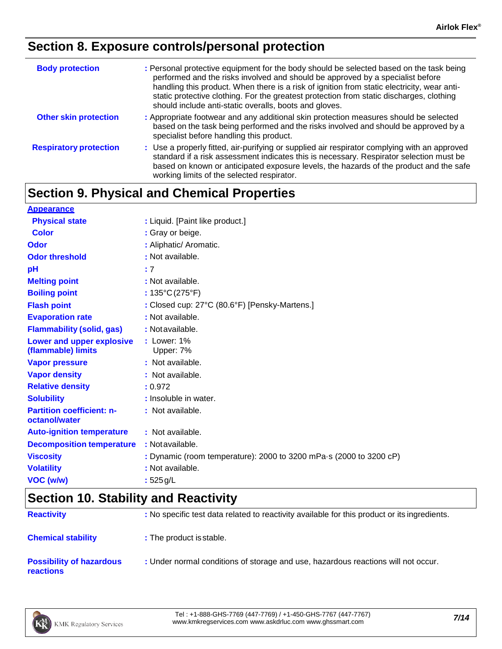### **Section 8. Exposure controls/personal protection**

| <b>Body protection</b>        | : Personal protective equipment for the body should be selected based on the task being<br>performed and the risks involved and should be approved by a specialist before<br>handling this product. When there is a risk of ignition from static electricity, wear anti-<br>static protective clothing. For the greatest protection from static discharges, clothing<br>should include anti-static overalls, boots and gloves. |  |  |
|-------------------------------|--------------------------------------------------------------------------------------------------------------------------------------------------------------------------------------------------------------------------------------------------------------------------------------------------------------------------------------------------------------------------------------------------------------------------------|--|--|
| <b>Other skin protection</b>  | : Appropriate footwear and any additional skin protection measures should be selected<br>based on the task being performed and the risks involved and should be approved by a<br>specialist before handling this product.                                                                                                                                                                                                      |  |  |
| <b>Respiratory protection</b> | : Use a properly fitted, air-purifying or supplied air respirator complying with an approved<br>standard if a risk assessment indicates this is necessary. Respirator selection must be<br>based on known or anticipated exposure levels, the hazards of the product and the safe<br>working limits of the selected respirator.                                                                                                |  |  |

# **Section 9. Physical and Chemical Properties**

| <b>Appearance</b>                                 |                                                                            |
|---------------------------------------------------|----------------------------------------------------------------------------|
| <b>Physical state</b>                             | : Liquid. [Paint like product.]                                            |
| <b>Color</b>                                      | : Gray or beige.                                                           |
| Odor                                              | : Aliphatic/ Aromatic.                                                     |
| <b>Odor threshold</b>                             | : Not available.                                                           |
| pH                                                | : 7                                                                        |
| <b>Melting point</b>                              | : Not available.                                                           |
| <b>Boiling point</b>                              | : $135^{\circ}C(275^{\circ}F)$                                             |
| <b>Flash point</b>                                | : Closed cup: 27°C (80.6°F) [Pensky-Martens.]                              |
| <b>Evaporation rate</b>                           | : Not available.                                                           |
| <b>Flammability (solid, gas)</b>                  | : Not available.                                                           |
| Lower and upper explosive<br>(flammable) limits   | $:$ Lower: $1\%$<br>Upper: 7%                                              |
| <b>Vapor pressure</b>                             | : Not available.                                                           |
| <b>Vapor density</b>                              | : Not available.                                                           |
| <b>Relative density</b>                           | : 0.972                                                                    |
| <b>Solubility</b>                                 | : Insoluble in water.                                                      |
| <b>Partition coefficient: n-</b><br>octanol/water | : Not available.                                                           |
| <b>Auto-ignition temperature</b>                  | : Not available.                                                           |
| <b>Decomposition temperature</b>                  | : Not available.                                                           |
| <b>Viscosity</b>                                  | : Dynamic (room temperature): 2000 to 3200 mPa $\cdot$ s (2000 to 3200 cP) |
| <b>Volatility</b>                                 | : Not available.                                                           |
| VOC (w/w)                                         | : $525 g/L$                                                                |

# **Section 10. Stability and Reactivity**

| <b>Reactivity</b>                                   | : No specific test data related to reactivity available for this product or its ingredients. |
|-----------------------------------------------------|----------------------------------------------------------------------------------------------|
| <b>Chemical stability</b>                           | : The product is stable.                                                                     |
| <b>Possibility of hazardous</b><br><b>reactions</b> | : Under normal conditions of storage and use, hazardous reactions will not occur.            |

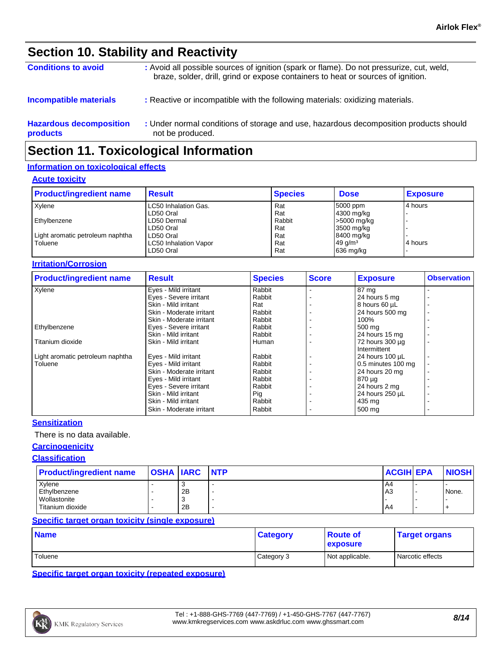### **Section 10. Stability and Reactivity**

| <b>Conditions to avoid</b>                 | : Avoid all possible sources of ignition (spark or flame). Do not pressurize, cut, weld,<br>braze, solder, drill, grind or expose containers to heat or sources of ignition. |
|--------------------------------------------|------------------------------------------------------------------------------------------------------------------------------------------------------------------------------|
| <b>Incompatible materials</b>              | : Reactive or incompatible with the following materials: oxidizing materials.                                                                                                |
| <b>Hazardous decomposition</b><br>products | : Under normal conditions of storage and use, hazardous decomposition products should<br>not be produced.                                                                    |

### **Section 11. Toxicological Information**

#### **Information on toxicological effects**

#### **Acute toxicity**

| <b>Product/ingredient name</b>   | <b>Result</b>         | <b>Species</b> | <b>Dose</b>        | <b>Exposure</b> |
|----------------------------------|-----------------------|----------------|--------------------|-----------------|
| Xvlene                           | LC50 Inhalation Gas.  | Rat            | 5000 ppm           | l 4 hours       |
|                                  | LD50 Oral             | Rat            | 4300 mg/kg         |                 |
| Ethylbenzene                     | LD50 Dermal           | Rabbit         | >5000 mg/kg        |                 |
|                                  | LD50 Oral             | Rat            | 3500 mg/kg         |                 |
| Light aromatic petroleum naphtha | LD50 Oral             | Rat            | 8400 mg/kg         |                 |
| Toluene                          | LC50 Inhalation Vapor | Rat            | $49 \text{ q/m}^3$ | 4 hours         |
|                                  | LD50 Oral             | Rat            | $636$ mg/kg        |                 |

#### **Irritation/Corrosion**

| <b>Product/ingredient name</b>   | <b>Result</b>            | <b>Species</b> | <b>Score</b> | <b>Exposure</b>                 | <b>Observation</b> |
|----------------------------------|--------------------------|----------------|--------------|---------------------------------|--------------------|
| Xylene                           | Eyes - Mild irritant     | Rabbit         |              | 87 mg                           |                    |
|                                  | Eyes - Severe irritant   | Rabbit         |              | 24 hours 5 mg                   |                    |
|                                  | Skin - Mild irritant     | Rat            |              | 8 hours 60 µL                   |                    |
|                                  | Skin - Moderate irritant | Rabbit         |              | 24 hours 500 mg                 |                    |
|                                  | Skin - Moderate irritant | Rabbit         |              | 100%                            |                    |
| Ethylbenzene                     | Eyes - Severe irritant   | Rabbit         |              | 500 mg                          |                    |
|                                  | Skin - Mild irritant     | Rabbit         |              | 24 hours 15 mg                  |                    |
| Titanium dioxide                 | Skin - Mild irritant     | Human          |              | 72 hours 300 µg<br>Intermittent |                    |
| Light aromatic petroleum naphtha | Eyes - Mild irritant     | Rabbit         |              | 24 hours 100 µL                 |                    |
| Toluene                          | Eyes - Mild irritant     | Rabbit         |              | 0.5 minutes 100 mg              |                    |
|                                  | Skin - Moderate irritant | Rabbit         |              | 24 hours 20 mg                  |                    |
|                                  | Eyes - Mild irritant     | Rabbit         |              | 870 µg                          |                    |
|                                  | Eyes - Severe irritant   | Rabbit         |              | 24 hours 2 mg                   |                    |
|                                  | Skin - Mild irritant     | Pig            |              | 24 hours 250 µL                 |                    |
|                                  | Skin - Mild irritant     | Rabbit         |              | 435 mg                          |                    |
|                                  | Skin - Moderate irritant | Rabbit         |              | 500 mg                          |                    |

#### **Sensitization**

There is no data available.

#### **Carcinogenicity**

#### **Classification**

| <b>Product/ingredient name</b> | <b>OSHA IARC NTP</b> | <b>ACGIH EPA</b> | <b>NIOSH</b> |
|--------------------------------|----------------------|------------------|--------------|
| Xvlene                         |                      | A4               |              |
| Ethylbenzene                   | 2B                   | A <sub>3</sub>   | None.        |
| Wollastonite                   |                      |                  |              |
| Titanium dioxide               | 2B                   | A4               |              |

#### **Specific target organ toxicity (single exposure)**

| <b>Name</b> | <b>Category</b> | ∣ Route of<br><b>exposure</b> | <b>Target organs</b> |
|-------------|-----------------|-------------------------------|----------------------|
| Toluene     | Category 3      | Not applicable.               | Narcotic effects     |

**Specific target organ toxicity (repeated exposure)**

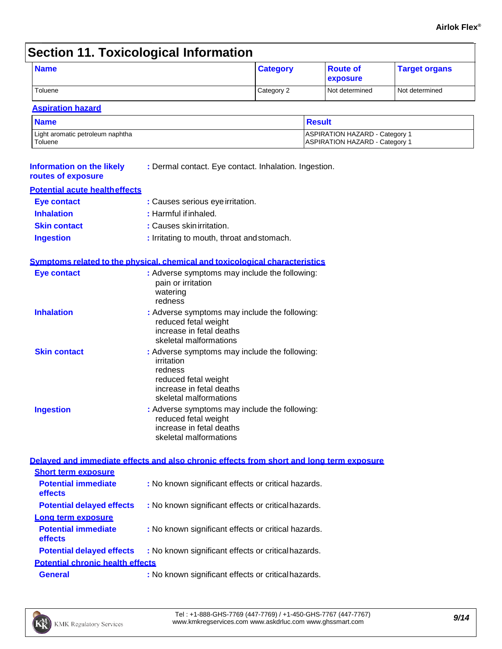# **Section 11. Toxicological Information**

| <b>Name</b>                                            |                                                                                                                                                      | <b>Category</b> | <b>Route of</b><br>exposure                                             | <b>Target organs</b> |
|--------------------------------------------------------|------------------------------------------------------------------------------------------------------------------------------------------------------|-----------------|-------------------------------------------------------------------------|----------------------|
| Toluene                                                |                                                                                                                                                      | Category 2      | Not determined                                                          | Not determined       |
| <b>Aspiration hazard</b>                               |                                                                                                                                                      |                 |                                                                         |                      |
| <b>Name</b>                                            |                                                                                                                                                      |                 | <b>Result</b>                                                           |                      |
| Light aromatic petroleum naphtha<br>Toluene            |                                                                                                                                                      |                 | ASPIRATION HAZARD - Category 1<br><b>ASPIRATION HAZARD - Category 1</b> |                      |
| <b>Information on the likely</b><br>routes of exposure | : Dermal contact. Eye contact. Inhalation. Ingestion.                                                                                                |                 |                                                                         |                      |
| <b>Potential acute health effects</b>                  |                                                                                                                                                      |                 |                                                                         |                      |
| <b>Eye contact</b>                                     | : Causes serious eye irritation.                                                                                                                     |                 |                                                                         |                      |
| <b>Inhalation</b>                                      | : Harmful if inhaled.                                                                                                                                |                 |                                                                         |                      |
| <b>Skin contact</b>                                    | : Causes skin irritation.                                                                                                                            |                 |                                                                         |                      |
| <b>Ingestion</b>                                       | : Irritating to mouth, throat and stomach.                                                                                                           |                 |                                                                         |                      |
|                                                        | Symptoms related to the physical, chemical and toxicological characteristics                                                                         |                 |                                                                         |                      |
| <b>Eye contact</b>                                     | : Adverse symptoms may include the following:<br>pain or irritation<br>watering<br>redness                                                           |                 |                                                                         |                      |
| <b>Inhalation</b>                                      | : Adverse symptoms may include the following:<br>reduced fetal weight<br>increase in fetal deaths<br>skeletal malformations                          |                 |                                                                         |                      |
| <b>Skin contact</b>                                    | : Adverse symptoms may include the following:<br>irritation<br>redness<br>reduced fetal weight<br>increase in fetal deaths<br>skeletal malformations |                 |                                                                         |                      |
| <b>Ingestion</b>                                       | : Adverse symptoms may include the following:<br>reduced fetal weight<br>increase in fetal deaths<br>skeletal malformations                          |                 |                                                                         |                      |
|                                                        | Delayed and immediate effects and also chronic effects from short and long term exposure                                                             |                 |                                                                         |                      |
| <b>Short term exposure</b>                             |                                                                                                                                                      |                 |                                                                         |                      |
| <b>Potential immediate</b><br>effects                  | : No known significant effects or critical hazards.                                                                                                  |                 |                                                                         |                      |
| <b>Potential delayed effects</b>                       | : No known significant effects or critical hazards.                                                                                                  |                 |                                                                         |                      |
| Long term exposure                                     |                                                                                                                                                      |                 |                                                                         |                      |
| <b>Potential immediate</b><br>effects                  | : No known significant effects or critical hazards.                                                                                                  |                 |                                                                         |                      |
| <b>Potential delayed effects</b>                       | : No known significant effects or critical hazards.                                                                                                  |                 |                                                                         |                      |
| <b>Potential chronic health effects</b>                |                                                                                                                                                      |                 |                                                                         |                      |
| <b>General</b>                                         | : No known significant effects or critical hazards.                                                                                                  |                 |                                                                         |                      |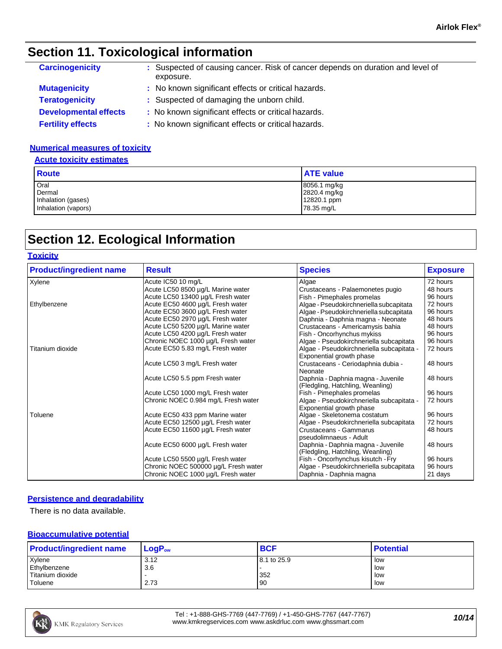## **Section 11. Toxicological information**

| <b>Carcinogenicity</b>       | : Suspected of causing cancer. Risk of cancer depends on duration and level of<br>exposure. |
|------------------------------|---------------------------------------------------------------------------------------------|
| <b>Mutagenicity</b>          | : No known significant effects or critical hazards.                                         |
| <b>Teratogenicity</b>        | : Suspected of damaging the unborn child.                                                   |
| <b>Developmental effects</b> | : No known significant effects or critical hazards.                                         |
| <b>Fertility effects</b>     | : No known significant effects or critical hazards.                                         |

#### **Numerical measures of toxicity**

#### **Acute toxicity estimates**

| <b>Route</b>        | <b>ATE value</b> |
|---------------------|------------------|
| Oral                | 8056.1 mg/kg     |
| Dermal              | 2820.4 mg/kg     |
| Inhalation (gases)  | 12820.1 ppm      |
| Inhalation (vapors) | 78.35 mg/L       |

# **Section 12. Ecological Information**

#### **Toxicity**

| <b>Product/ingredient name</b> | <b>Result</b>                                                              | <b>Species</b>                                                         | <b>Exposure</b>     |
|--------------------------------|----------------------------------------------------------------------------|------------------------------------------------------------------------|---------------------|
| Xylene                         | Acute IC50 10 mg/L                                                         | Algae                                                                  | 72 hours            |
|                                | Acute LC50 8500 µg/L Marine water                                          | Crustaceans - Palaemonetes pugio                                       | 48 hours            |
|                                | Acute LC50 13400 µg/L Fresh water                                          | Fish - Pimephales promelas                                             | 96 hours            |
| Ethylbenzene                   | Acute EC50 4600 µg/L Fresh water                                           | Algae - Pseudokirchneriella subcapitata                                | 72 hours            |
|                                | Acute EC50 3600 µg/L Fresh water                                           | Algae - Pseudokirchneriella subcapitata                                | 96 hours            |
|                                | Acute EC50 2970 µg/L Fresh water                                           | Daphnia - Daphnia magna - Neonate                                      | 48 hours            |
|                                | Acute LC50 5200 µg/L Marine water                                          | Crustaceans - Americamysis bahia                                       | 48 hours            |
|                                | Acute LC50 4200 µg/L Fresh water                                           | Fish - Oncorhynchus mykiss                                             | 96 hours            |
|                                | Chronic NOEC 1000 µg/L Fresh water                                         | Algae - Pseudokirchneriella subcapitata                                | 96 hours            |
| Titanium dioxide               | Acute EC50 5.83 mg/L Fresh water                                           | Algae - Pseudokirchneriella subcapitata -<br>Exponential growth phase  | 72 hours            |
|                                | Acute LC50 3 mg/L Fresh water                                              | Crustaceans - Ceriodaphnia dubia -<br>Neonate                          | 48 hours            |
|                                | Acute LC50 5.5 ppm Fresh water                                             | Daphnia - Daphnia magna - Juvenile<br>(Fledgling, Hatchling, Weanling) | 48 hours            |
|                                | Acute LC50 1000 mg/L Fresh water                                           | Fish - Pimephales promelas                                             | 96 hours            |
|                                | Chronic NOEC 0.984 mg/L Fresh water                                        | Algae - Pseudokirchneriella subcapitata -<br>Exponential growth phase  | 72 hours            |
| Toluene                        | Acute EC50 433 ppm Marine water                                            | Algae - Skeletonema costatum                                           | 96 hours            |
|                                | Acute EC50 12500 µg/L Fresh water                                          | Algae - Pseudokirchneriella subcapitata                                | 72 hours            |
|                                | Acute EC50 11600 µg/L Fresh water                                          | Crustaceans - Gammarus<br>pseudolimnaeus - Adult                       | 48 hours            |
|                                | Acute EC50 6000 µg/L Fresh water                                           | Daphnia - Daphnia magna - Juvenile<br>(Fledgling, Hatchling, Weanling) | 48 hours            |
|                                | Acute LC50 5500 µg/L Fresh water                                           | Fish - Oncorhynchus kisutch - Fry                                      | 96 hours            |
|                                | Chronic NOEC 500000 µg/L Fresh water<br>Chronic NOEC 1000 µg/L Fresh water | Algae - Pseudokirchneriella subcapitata<br>Daphnia - Daphnia magna     | 96 hours<br>21 days |

#### **Persistence and degradability**

There is no data available.

#### **Bioaccumulative potential**

| <b>Product/ingredient name</b> | $LogP_{ow}$ | <b>BCF</b>  | <b>Potential</b> |
|--------------------------------|-------------|-------------|------------------|
| Xylene                         | 3.12        | 8.1 to 25.9 | low              |
| Ethylbenzene                   | 3.6         |             | low              |
| Titanium dioxide               |             | 352         | low              |
| Toluene                        | 2.73        | 90          | low              |

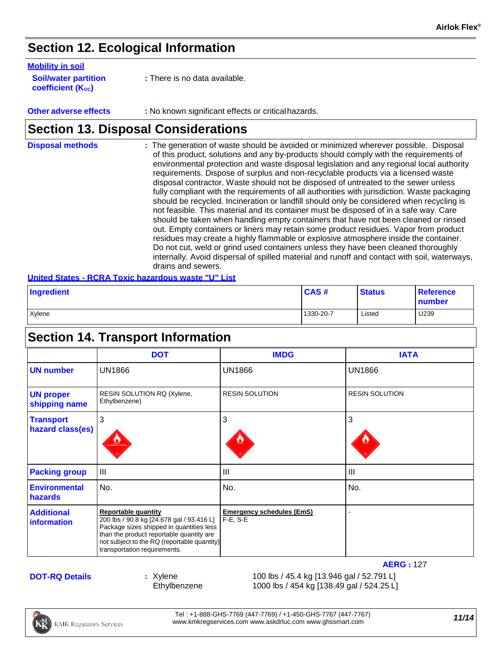### **Section 12. Ecological Information**

#### **Mobility in soil**

| <b>Soil/water partition</b> |  |
|-----------------------------|--|
| <b>coefficient (Koc)</b>    |  |

**:** There is no data available.

#### **Other adverse effects** : No known significant effects or critical hazards.

### **Section 13. Disposal Considerations**

| <b>Disposal methods</b> | : The generation of waste should be avoided or minimized wherever possible. Disposal<br>of this product, solutions and any by-products should comply with the requirements of<br>environmental protection and waste disposal legislation and any regional local authority<br>requirements. Dispose of surplus and non-recyclable products via a licensed waste<br>disposal contractor. Waste should not be disposed of untreated to the sewer unless<br>fully compliant with the requirements of all authorities with jurisdiction. Waste packaging<br>should be recycled. Incineration or landfill should only be considered when recycling is<br>not feasible. This material and its container must be disposed of in a safe way. Care<br>should be taken when handling empty containers that have not been cleaned or rinsed<br>out. Empty containers or liners may retain some product residues. Vapor from product<br>residues may create a highly flammable or explosive atmosphere inside the container.<br>Do not cut, weld or grind used containers unless they have been cleaned thoroughly<br>internally. Avoid dispersal of spilled material and runoff and contact with soil, waterways, |
|-------------------------|-------------------------------------------------------------------------------------------------------------------------------------------------------------------------------------------------------------------------------------------------------------------------------------------------------------------------------------------------------------------------------------------------------------------------------------------------------------------------------------------------------------------------------------------------------------------------------------------------------------------------------------------------------------------------------------------------------------------------------------------------------------------------------------------------------------------------------------------------------------------------------------------------------------------------------------------------------------------------------------------------------------------------------------------------------------------------------------------------------------------------------------------------------------------------------------------------------|
|                         | drains and sewers.                                                                                                                                                                                                                                                                                                                                                                                                                                                                                                                                                                                                                                                                                                                                                                                                                                                                                                                                                                                                                                                                                                                                                                                    |

#### **United States - RCRA Toxic hazardous waste "U" List**

| Ingredient | CAS#      | <b>Status</b> | <b>Reference</b><br>number |
|------------|-----------|---------------|----------------------------|
| Xylene     | 1330-20-7 | Listed        | U239                       |

# **Section 14. Transport Information**

|                                      | <b>DOT</b>                                                                                                                                                                                                                                     | <b>IMDG</b>                                       | <b>IATA</b>           |
|--------------------------------------|------------------------------------------------------------------------------------------------------------------------------------------------------------------------------------------------------------------------------------------------|---------------------------------------------------|-----------------------|
| <b>UN number</b>                     | <b>UN1866</b>                                                                                                                                                                                                                                  | <b>UN1866</b>                                     | <b>UN1866</b>         |
| <b>UN proper</b><br>shipping name    | RESIN SOLUTION RQ (Xylene,<br>Ethylbenzene)                                                                                                                                                                                                    | <b>RESIN SOLUTION</b>                             | <b>RESIN SOLUTION</b> |
| <b>Transport</b><br>hazard class(es) | 3<br><b>WMABLE L</b>                                                                                                                                                                                                                           | 3                                                 | 3                     |
| <b>Packing group</b>                 | $\mathbf{III}$                                                                                                                                                                                                                                 | III                                               | III                   |
| <b>Environmental</b><br>hazards      | No.                                                                                                                                                                                                                                            | No.                                               | No.                   |
| <b>Additional</b><br>information     | <b>Reportable quantity</b><br>200 lbs / 90.8 kg [24.678 gal / 93.416 L]<br>Package sizes shipped in quantities less<br>than the product reportable quantity are<br>not subject to the RQ (reportable quantity)<br>transportation requirements. | <b>Emergency schedules (EmS)</b><br>$F-E$ , $S-E$ |                       |

#### **DOT-RQ Details**

**:** Xylene 100 lbs / 45.4 kg [13.946 gal / 52.791 L] Ethylbenzene 1000 lbs / 454 kg [138.49 gal / 524.25 L]

Tel : +1-888-GHS-7769 (447-7769) / +1-450-GHS-7767 (447-7767) lel : +1-888-GHS-7769 (447-7769) / +1-450-GHS-7767 (447-7767)<br>[www.kmkregservices.com](http://www.kmkregservices.com/) [www.askdrluc.com](http://www.askdrluc.com/) [www.ghssmart.com](http://www.ghssmart.com/)

**AERG :** 127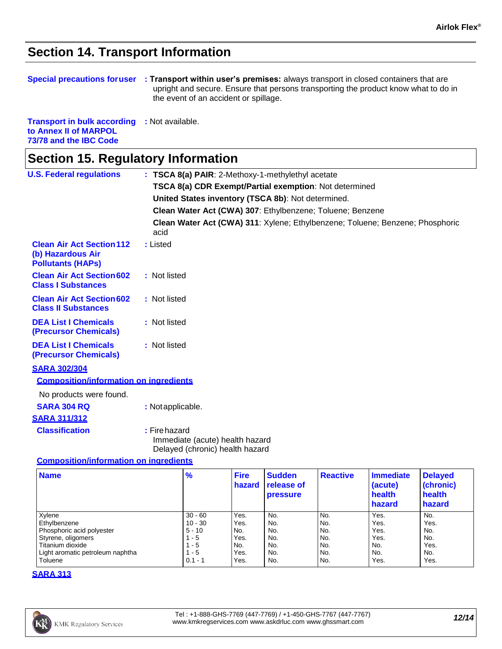### **Section 14. Transport Information**

| <b>Special precautions for user</b> | <b>Transport within user's premises:</b> always transport in closed containers that are |
|-------------------------------------|-----------------------------------------------------------------------------------------|
|                                     | upright and secure. Ensure that persons transporting the product know what to do in     |
|                                     | the event of an accident or spillage.                                                   |

| <b>Transport in bulk according</b> | : Not available. |
|------------------------------------|------------------|
| to Annex II of MARPOL              |                  |
| 73/78 and the IBC Code             |                  |

# **Section 15. Regulatory Information**

| <b>U.S. Federal regulations</b>                                                   | : TSCA 8(a) PAIR: 2-Methoxy-1-methylethyl acetate                                     |  |  |  |  |  |
|-----------------------------------------------------------------------------------|---------------------------------------------------------------------------------------|--|--|--|--|--|
|                                                                                   | TSCA 8(a) CDR Exempt/Partial exemption: Not determined                                |  |  |  |  |  |
|                                                                                   | United States inventory (TSCA 8b): Not determined.                                    |  |  |  |  |  |
|                                                                                   | Clean Water Act (CWA) 307: Ethylbenzene; Toluene; Benzene                             |  |  |  |  |  |
|                                                                                   | Clean Water Act (CWA) 311: Xylene; Ethylbenzene; Toluene; Benzene; Phosphoric<br>acid |  |  |  |  |  |
| <b>Clean Air Act Section 112</b><br>(b) Hazardous Air<br><b>Pollutants (HAPs)</b> | : Listed                                                                              |  |  |  |  |  |
| <b>Clean Air Act Section 602</b><br><b>Class I Substances</b>                     | : Not listed                                                                          |  |  |  |  |  |
| <b>Clean Air Act Section 602</b><br><b>Class II Substances</b>                    | : Not listed                                                                          |  |  |  |  |  |
| <b>DEA List I Chemicals</b><br><b>(Precursor Chemicals)</b>                       | : Not listed                                                                          |  |  |  |  |  |
| <b>DEA List I Chemicals</b><br>(Precursor Chemicals)                              | : Not listed                                                                          |  |  |  |  |  |
| <b>SARA 302/304</b>                                                               |                                                                                       |  |  |  |  |  |
| <b>Composition/information on ingredients</b>                                     |                                                                                       |  |  |  |  |  |
| No products were found.                                                           |                                                                                       |  |  |  |  |  |
| <b>SARA 304 RQ</b>                                                                | : Notapplicable.                                                                      |  |  |  |  |  |
| <b>SARA 311/312</b>                                                               |                                                                                       |  |  |  |  |  |
| <b>Classification</b>                                                             | : Firehazard<br>Immediate (acute) health hazard<br>Delayed (chronic) health hazard    |  |  |  |  |  |

#### **Composition/information on ingredients**

| <b>Name</b>                      | $\frac{9}{6}$ | <b>Fire</b><br>hazard | <b>Sudden</b><br>release of<br><b>pressure</b> | <b>Reactive</b> | Immediate<br>(acute)<br>health<br><b>hazard</b> | <b>Delayed</b><br>(chronic)<br>health<br>hazard |
|----------------------------------|---------------|-----------------------|------------------------------------------------|-----------------|-------------------------------------------------|-------------------------------------------------|
| Xylene                           | $30 - 60$     | Yes.                  | No.                                            | No.             | Yes.                                            | No.                                             |
| Ethylbenzene                     | $10 - 30$     | Yes.                  | No.                                            | No.             | Yes.                                            | Yes.                                            |
| Phosphoric acid polyester        | $5 - 10$      | No.                   | No.                                            | No.             | Yes.                                            | No.                                             |
| Styrene, oligomers               | $1 - 5$       | Yes.                  | No.                                            | No.             | Yes.                                            | No.                                             |
| Titanium dioxide                 | $1 - 5$       | No.                   | No.                                            | No.             | No.                                             | Yes.                                            |
| Light aromatic petroleum naphtha | $1 - 5$       | Yes.                  | No.                                            | No.             | No.                                             | No.                                             |
| Toluene                          | $0.1 - 1$     | Yes.                  | No.                                            | No.             | Yes.                                            | Yes.                                            |

#### **SARA 313**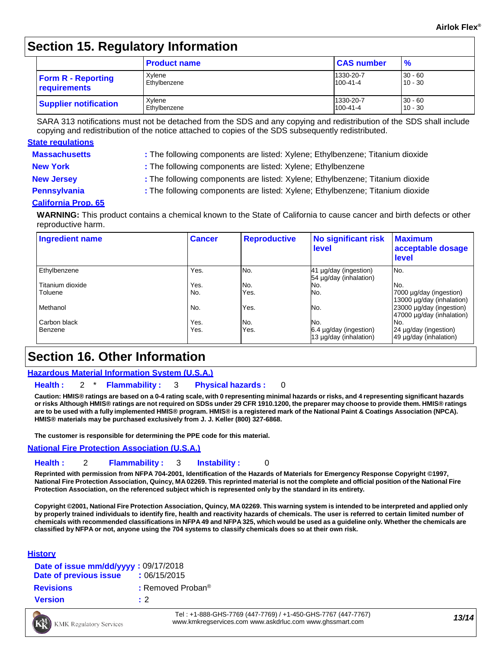### **Section 15. Regulatory Information**

|                              | <b>Product name</b> | <b>CAS number</b> | $\frac{9}{6}$ |
|------------------------------|---------------------|-------------------|---------------|
| <b>Form R - Reporting</b>    | Xvlene              | 1330-20-7         | $30 - 60$     |
| requirements                 | Ethylbenzene        | 100-41-4          | $10 - 30$     |
| <b>Supplier notification</b> | Xvlene              | 1330-20-7         | $30 - 60$     |
|                              | Ethylbenzene        | $100 - 41 - 4$    | $10 - 30$     |

SARA 313 notifications must not be detached from the SDS and any copying and redistribution of the SDS shall include copying and redistribution of the notice attached to copies of the SDS subsequently redistributed.

#### **State regulations**

- **Massachusetts :** The following components are listed: Xylene; Ethylbenzene; Titanium dioxide
- 

**New York :** The following components are listed: Xylene; Ethylbenzene

- 
- **New Jersey :** The following components are listed: Xylene; Ethylbenzene; Titanium dioxide
- 
- **Pennsylvania 1993 :** The following components are listed: Xylene; Ethylbenzene; Titanium dioxide

#### **California Prop. 65**

**WARNING:** This product contains a chemical known to the State of California to cause cancer and birth defects or other reproductive harm.

| <b>Ingredient name</b> | <b>Cancer</b> | <b>Reproductive</b> | <b>No significant risk</b><br>level                | <b>Maximum</b><br>acceptable dosage<br>level          |
|------------------------|---------------|---------------------|----------------------------------------------------|-------------------------------------------------------|
| Ethylbenzene           | Yes.          | No.                 | 41 µg/day (ingestion)<br>54 µg/day (inhalation)    | No.                                                   |
| Titanium dioxide       | Yes.          | No.                 | No.                                                | No.                                                   |
| Toluene                | No.           | Yes.                | No.                                                | 7000 µg/day (ingestion)<br>13000 µg/day (inhalation)  |
| Methanol               | No.           | Yes.                | No.                                                | 23000 µg/day (ingestion)<br>47000 µg/day (inhalation) |
| Carbon black           | Yes.          | No.                 | No.                                                | No.                                                   |
| Benzene                | Yes.          | Yes.                | $6.4$ µg/day (ingestion)<br>13 µg/day (inhalation) | 24 µg/day (ingestion)<br>49 µg/day (inhalation)       |

### **Section 16. Other Information**

#### **Hazardous Material Information System (U.S.A.)**

**Health :** 2 \* **Flammability :** 3 **Physical hazards :** 0

Caution: HMIS® ratings are based on a 0-4 rating scale, with 0 representing minimal hazards or risks, and 4 representing significant hazards or risks Although HMIS® ratings are not required on SDSs under 29 CFR 1910.1200, the preparer may choose to provide them. HMIS® ratings are to be used with a fully implemented HMIS® program. HMIS® is a registered mark of the National Paint & Coatings Association (NPCA). **HMIS® materials may be purchased exclusively from J. J. Keller (800) 327-6868.**

**The customer is responsible for determining the PPE code for this material.**

#### **National Fire Protection Association (U.S.A.)**

#### **Health :** 2 **Flammability :** 3 **Instability :** 0

**Reprinted with permission from NFPA 704-2001, Identification of the Hazards of Materials for Emergency Response Copyright ©1997,**  National Fire Protection Association, Quincy, MA 02269. This reprinted material is not the complete and official position of the National Fire **Protection Association, on the referenced subject which is represented only by the standard in its entirety.**

Copyright @2001, National Fire Protection Association, Quincy, MA 02269. This warning system is intended to be interpreted and applied only **by properly trained individuals to identify fire, health and reactivity hazards of chemicals. The user is referred to certain limited number of**  chemicals with recommended classifications in NFPA 49 and NFPA 325, which would be used as a guideline only. Whether the chemicals are classified by NFPA or not, anyone using the 704 systems to classify chemicals does so at their own risk.

#### **History**

| Date of issue mm/dd/yyyy: 09/17/2018<br>Date of previous issue | : 06/15/2015                  |
|----------------------------------------------------------------|-------------------------------|
| <b>Revisions</b>                                               | : Removed Proban <sup>®</sup> |
| <b>Version</b>                                                 | $\cdot$ 2                     |

Tel : +1-888-GHS-7769 (447-7769) / +1-450-GHS-7767 (447-7767) [www.kmkregservices.com](http://www.kmkregservices.com/) [www.askdrluc.com](http://www.askdrluc.com/) [www.ghssmart.com](http://www.ghssmart.com/) *13/14*